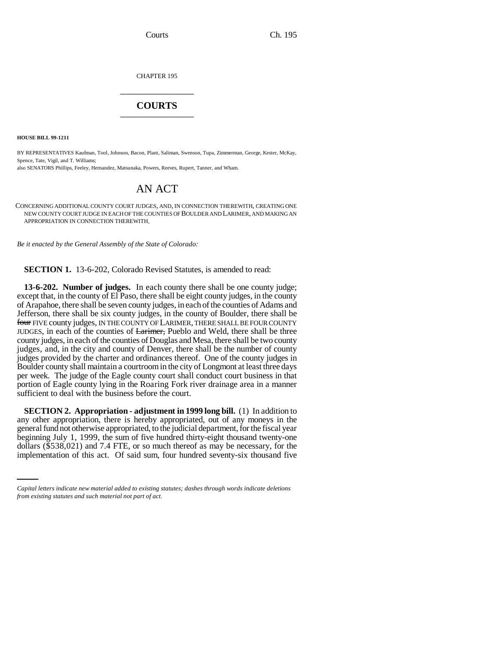CHAPTER 195 \_\_\_\_\_\_\_\_\_\_\_\_\_\_\_

## **COURTS** \_\_\_\_\_\_\_\_\_\_\_\_\_\_\_

**HOUSE BILL 99-1211** 

BY REPRESENTATIVES Kaufman, Tool, Johnson, Bacon, Plant, Saliman, Swenson, Tupa, Zimmerman, George, Kester, McKay, Spence, Tate, Vigil, and T. Williams;

also SENATORS Phillips, Feeley, Hernandez, Matsunaka, Powers, Reeves, Rupert, Tanner, and Wham.

## AN ACT

CONCERNING ADDITIONAL COUNTY COURT JUDGES, AND, IN CONNECTION THEREWITH, CREATING ONE NEW COUNTY COURT JUDGE IN EACH OF THE COUNTIES OF BOULDER AND LARIMER, AND MAKING AN APPROPRIATION IN CONNECTION THEREWITH.

*Be it enacted by the General Assembly of the State of Colorado:*

**SECTION 1.** 13-6-202, Colorado Revised Statutes, is amended to read:

**13-6-202. Number of judges.** In each county there shall be one county judge; except that, in the county of El Paso, there shall be eight county judges, in the county of Arapahoe, there shall be seven county judges, in each of the counties of Adams and Jefferson, there shall be six county judges, in the county of Boulder, there shall be four FIVE county judges, IN THE COUNTY OF LARIMER, THERE SHALL BE FOUR COUNTY JUDGES, in each of the counties of Larimer, Pueblo and Weld, there shall be three county judges, in each of the counties of Douglas and Mesa, there shall be two county judges, and, in the city and county of Denver, there shall be the number of county judges provided by the charter and ordinances thereof. One of the county judges in Boulder county shall maintain a courtroom in the city of Longmont at least three days per week. The judge of the Eagle county court shall conduct court business in that portion of Eagle county lying in the Roaring Fork river drainage area in a manner sufficient to deal with the business before the court.

beginning July 1, 1999, the sum of five hundred thirty-eight thousand twenty-one **SECTION 2. Appropriation - adjustment in 1999 long bill.** (1) In addition to any other appropriation, there is hereby appropriated, out of any moneys in the general fund not otherwise appropriated, to the judicial department, for the fiscal year dollars (\$538,021) and 7.4 FTE, or so much thereof as may be necessary, for the implementation of this act. Of said sum, four hundred seventy-six thousand five

*Capital letters indicate new material added to existing statutes; dashes through words indicate deletions from existing statutes and such material not part of act.*